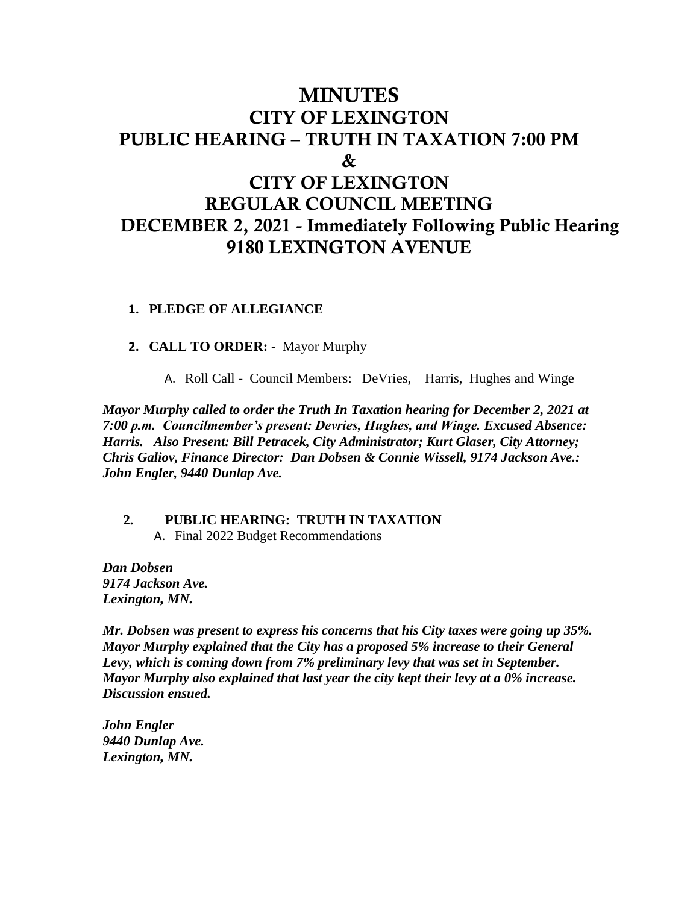## MINUTES CITY OF LEXINGTON PUBLIC HEARING – TRUTH IN TAXATION 7:00 PM & CITY OF LEXINGTON REGULAR COUNCIL MEETING DECEMBER 2, 2021 - Immediately Following Public Hearing 9180 LEXINGTON AVENUE

#### **1. PLEDGE OF ALLEGIANCE**

**2. CALL TO ORDER:** - Mayor Murphy

A. Roll Call - Council Members: DeVries, Harris, Hughes and Winge

*Mayor Murphy called to order the Truth In Taxation hearing for December 2, 2021 at 7:00 p.m. Councilmember's present: Devries, Hughes, and Winge. Excused Absence: Harris. Also Present: Bill Petracek, City Administrator; Kurt Glaser, City Attorney; Chris Galiov, Finance Director: Dan Dobsen & Connie Wissell, 9174 Jackson Ave.: John Engler, 9440 Dunlap Ave.*

#### **2. PUBLIC HEARING: TRUTH IN TAXATION**  A. Final 2022 Budget Recommendations

*Dan Dobsen 9174 Jackson Ave. Lexington, MN.*

*Mr. Dobsen was present to express his concerns that his City taxes were going up 35%. Mayor Murphy explained that the City has a proposed 5% increase to their General*  Levy, which is coming down from 7% preliminary levy that was set in September. *Mayor Murphy also explained that last year the city kept their levy at a 0% increase. Discussion ensued.* 

*John Engler 9440 Dunlap Ave. Lexington, MN.*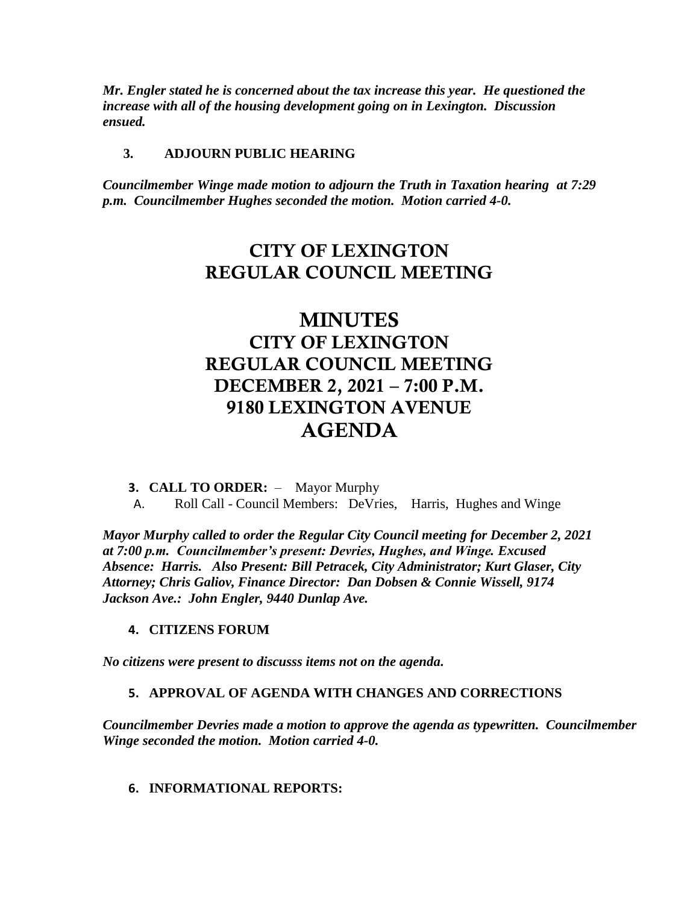*Mr. Engler stated he is concerned about the tax increase this year. He questioned the increase with all of the housing development going on in Lexington. Discussion ensued.* 

#### **3. ADJOURN PUBLIC HEARING**

*Councilmember Winge made motion to adjourn the Truth in Taxation hearing at 7:29 p.m. Councilmember Hughes seconded the motion. Motion carried 4-0.*

## CITY OF LEXINGTON REGULAR COUNCIL MEETING

# MINUTES CITY OF LEXINGTON REGULAR COUNCIL MEETING DECEMBER 2, 2021 – 7:00 P.M. 9180 LEXINGTON AVENUE AGENDA

- **3. CALL TO ORDER:**  Mayor Murphy
- A. Roll Call Council Members: DeVries, Harris, Hughes and Winge

*Mayor Murphy called to order the Regular City Council meeting for December 2, 2021 at 7:00 p.m. Councilmember's present: Devries, Hughes, and Winge. Excused Absence: Harris. Also Present: Bill Petracek, City Administrator; Kurt Glaser, City Attorney; Chris Galiov, Finance Director: Dan Dobsen & Connie Wissell, 9174 Jackson Ave.: John Engler, 9440 Dunlap Ave.*

#### **4. CITIZENS FORUM**

*No citizens were present to discusss items not on the agenda.*

#### **5. APPROVAL OF AGENDA WITH CHANGES AND CORRECTIONS**

*Councilmember Devries made a motion to approve the agenda as typewritten. Councilmember Winge seconded the motion. Motion carried 4-0.*

**6. INFORMATIONAL REPORTS:**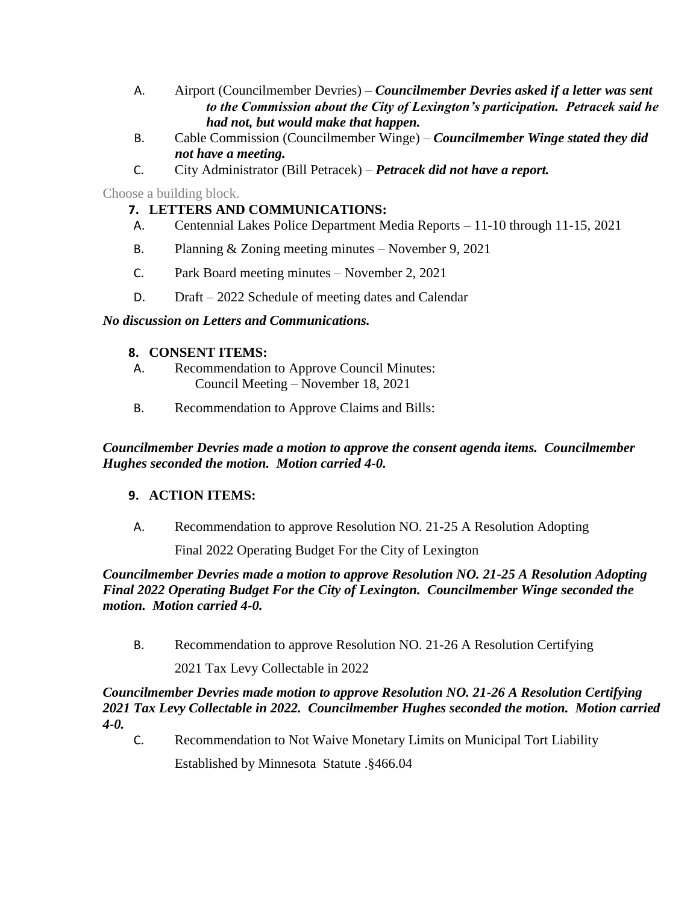- A. Airport (Councilmember Devries) *Councilmember Devries asked if a letter was sent to the Commission about the City of Lexington's participation. Petracek said he had not, but would make that happen.*
- B. Cable Commission (Councilmember Winge) *Councilmember Winge stated they did not have a meeting.*
- C. City Administrator (Bill Petracek) *Petracek did not have a report.*

Choose a building block.

### **7. LETTERS AND COMMUNICATIONS:**

- A. Centennial Lakes Police Department Media Reports 11-10 through 11-15, 2021
- B. Planning & Zoning meeting minutes November 9, 2021
- C. Park Board meeting minutes November 2, 2021
- D. Draft 2022 Schedule of meeting dates and Calendar

#### *No discussion on Letters and Communications.*

#### **8. CONSENT ITEMS:**

- A. Recommendation to Approve Council Minutes: Council Meeting – November 18, 2021
- B. Recommendation to Approve Claims and Bills:

*Councilmember Devries made a motion to approve the consent agenda items. Councilmember Hughes seconded the motion. Motion carried 4-0.*

#### **9. ACTION ITEMS:**

A. Recommendation to approve Resolution NO. 21-25 A Resolution Adopting

Final 2022 Operating Budget For the City of Lexington

*Councilmember Devries made a motion to approve Resolution NO. 21-25 A Resolution Adopting Final 2022 Operating Budget For the City of Lexington. Councilmember Winge seconded the motion. Motion carried 4-0.* 

B. Recommendation to approve Resolution NO. 21-26 A Resolution Certifying

2021 Tax Levy Collectable in 2022

#### *Councilmember Devries made motion to approve Resolution NO. 21-26 A Resolution Certifying 2021 Tax Levy Collectable in 2022. Councilmember Hughes seconded the motion. Motion carried 4-0.*

C. Recommendation to Not Waive Monetary Limits on Municipal Tort Liability

Established by Minnesota Statute .§466.04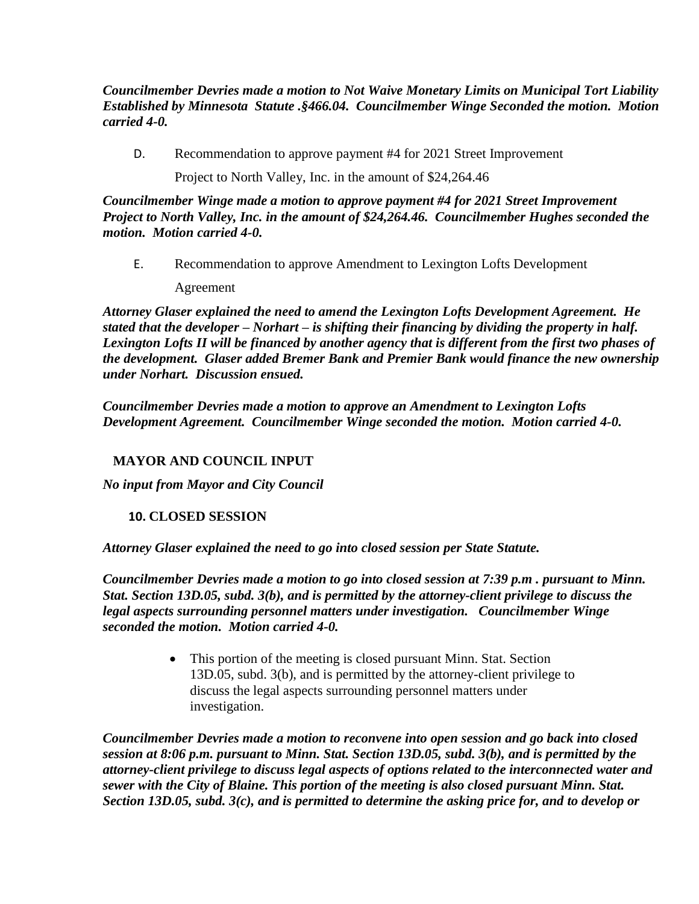*Councilmember Devries made a motion to Not Waive Monetary Limits on Municipal Tort Liability Established by Minnesota Statute .§466.04. Councilmember Winge Seconded the motion. Motion carried 4-0.* 

D. Recommendation to approve payment #4 for 2021 Street Improvement

Project to North Valley, Inc. in the amount of \$24,264.46

*Councilmember Winge made a motion to approve payment #4 for 2021 Street Improvement Project to North Valley, Inc. in the amount of \$24,264.46. Councilmember Hughes seconded the motion. Motion carried 4-0.* 

E. Recommendation to approve Amendment to Lexington Lofts Development Agreement

*Attorney Glaser explained the need to amend the Lexington Lofts Development Agreement. He stated that the developer – Norhart – is shifting their financing by dividing the property in half. Lexington Lofts II will be financed by another agency that is different from the first two phases of the development. Glaser added Bremer Bank and Premier Bank would finance the new ownership under Norhart. Discussion ensued.* 

*Councilmember Devries made a motion to approve an Amendment to Lexington Lofts Development Agreement. Councilmember Winge seconded the motion. Motion carried 4-0.* 

### **MAYOR AND COUNCIL INPUT**

*No input from Mayor and City Council*

#### **10. CLOSED SESSION**

*Attorney Glaser explained the need to go into closed session per State Statute.* 

*Councilmember Devries made a motion to go into closed session at 7:39 p.m . pursuant to Minn. Stat. Section 13D.05, subd. 3(b), and is permitted by the attorney-client privilege to discuss the legal aspects surrounding personnel matters under investigation. Councilmember Winge seconded the motion. Motion carried 4-0.* 

> This portion of the meeting is closed pursuant Minn. Stat. Section 13D.05, subd. 3(b), and is permitted by the attorney-client privilege to discuss the legal aspects surrounding personnel matters under investigation.

*Councilmember Devries made a motion to reconvene into open session and go back into closed session at 8:06 p.m. pursuant to Minn. Stat. Section 13D.05, subd. 3(b), and is permitted by the attorney-client privilege to discuss legal aspects of options related to the interconnected water and sewer with the City of Blaine. This portion of the meeting is also closed pursuant Minn. Stat. Section 13D.05, subd. 3(c), and is permitted to determine the asking price for, and to develop or*